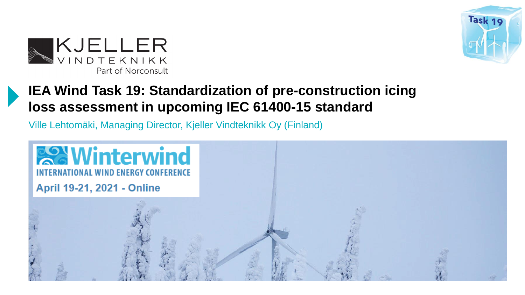



#### **IEA Wind Task 19: Standardization of pre-construction icing loss assessment in upcoming IEC 61400-15 standard**

Ville Lehtomäki, Managing Director, Kjeller Vindteknikk Oy (Finland)

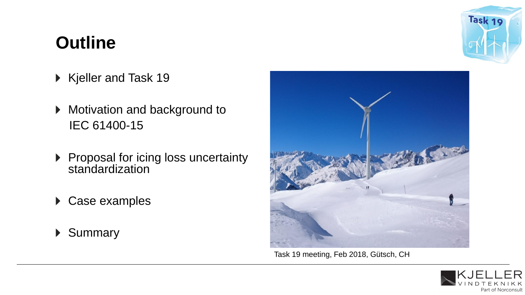# **Outline**

Task 19

- Kjeller and Task 19
- ▶ Motivation and background to IEC 61400-15
- Proposal for icing loss uncertainty standardization
- ▶ Case examples
- ▶ Summary



Task 19 meeting, Feb 2018, Gütsch, CH

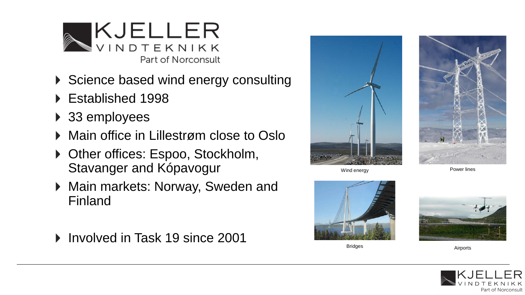

- Science based wind energy consulting
- ▶ Established 1998
- ▶ 33 employees
- ▶ Main office in Lillestrøm close to Oslo
- ▶ Other offices: Espoo, Stockholm, Stavanger and Kópavogur
- ▶ Main markets: Norway, Sweden and Finland
- ▶ Involved in Task 19 since 2001



Wind energy **Power lines** 





Bridges





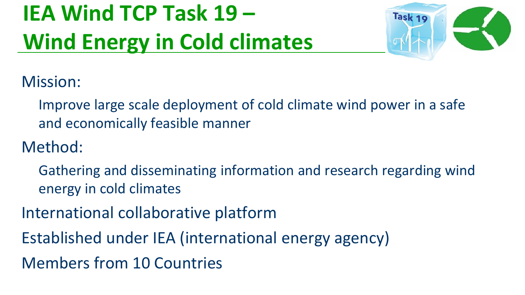# **IEA Wind TCP Task 19 – Wind Energy in Cold climates**



Mission:

Improve large scale deployment of cold climate wind power in a safe and economically feasible manner

Method:

- Gathering and disseminating information and research regarding wind energy in cold climates
- International collaborative platform
- Established under IEA (international energy agency)
- Members from 10 Countries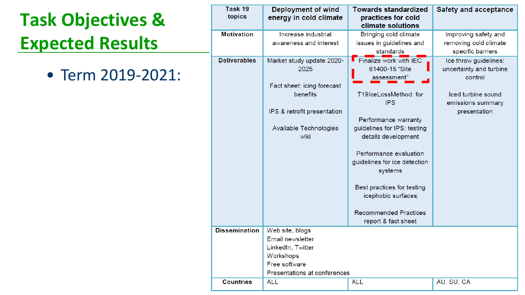# **Task Objectives & Expected Results**

• Term 2019-2021:

| Task 19<br>topics    | <b>Deployment of wind</b><br>energy in cold climate                                                                                          | <b>Towards standardized</b><br>practices for cold<br>climate solutions                                                                                                                                                                                                                                                                                                      | <b>Safety and acceptance</b>                                                                                           |
|----------------------|----------------------------------------------------------------------------------------------------------------------------------------------|-----------------------------------------------------------------------------------------------------------------------------------------------------------------------------------------------------------------------------------------------------------------------------------------------------------------------------------------------------------------------------|------------------------------------------------------------------------------------------------------------------------|
| <b>Motivation</b>    | Increase industrial<br>awareness and interest                                                                                                | Bringing cold climate<br>issues in guidelines and<br>standards                                                                                                                                                                                                                                                                                                              | Improving safety and<br>removing cold climate<br>specific barriers                                                     |
| <b>Deliverables</b>  | Market study update 2020-<br>2025<br>Fact sheet: icing forecast<br>benefits<br>IPS & retrofit presentation<br>Available Technologies<br>wiki | $\blacksquare$ Finalize work with IEC<br>61400-15 "Site<br>assessment"<br>T19IceLossMethod: for<br><b>IPS</b><br>Performance warranty<br>guidelines for IPS: testing<br>details development<br>Performance evaluation<br>guidelines for ice detection<br>systems<br>Best practices for testing<br>icephobic surfaces<br><b>Recommended Practices</b><br>report & fact sheet | Ice throw guidelines:<br>uncertainty and turbine<br>control<br>Iced turbine sound<br>emissions summary<br>presentation |
| <b>Dissemination</b> | Web site, blogs<br>Email newsletter<br>LinkedIn, Twitter<br>Workshops<br>Free software<br>Presentations at conferences                       |                                                                                                                                                                                                                                                                                                                                                                             |                                                                                                                        |
| <b>Countries</b>     | <b>ALL</b>                                                                                                                                   | <b>ALL</b>                                                                                                                                                                                                                                                                                                                                                                  | AU, SU, CA                                                                                                             |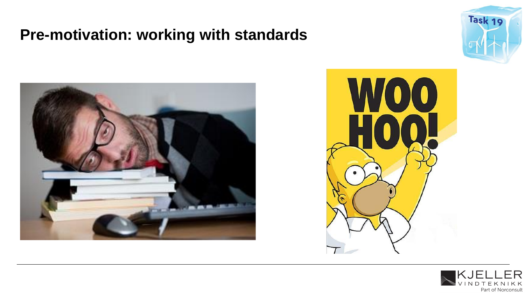#### **Pre-motivation: working with standards**







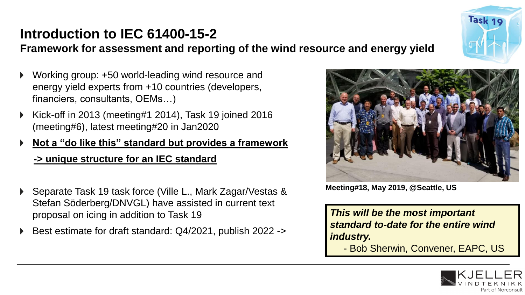# **Introduction to IEC 61400-15-2**

**Framework for assessment and reporting of the wind resource and energy yield**

- Working group: +50 world-leading wind resource and energy yield experts from +10 countries (developers, financiers, consultants, OEMs…)
- Kick-off in 2013 (meeting#1 2014), Task 19 joined 2016 (meeting#6), latest meeting#20 in Jan2020
- **Not a "do like this" standard but provides a framework -> unique structure for an IEC standard**
- Separate Task 19 task force (Ville L., Mark Zagar/Vestas & Stefan Söderberg/DNVGL) have assisted in current text proposal on icing in addition to Task 19
- ▶ Best estimate for draft standard: Q4/2021, publish 2022 ->



**Meeting#18, May 2019, @Seattle, US**

*This will be the most important standard to-date for the entire wind industry.* - Bob Sherwin, Convener, EAPC, US



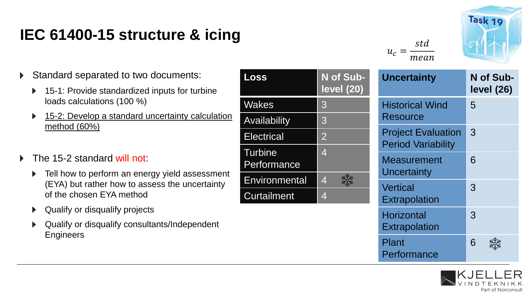# **IEC 61400-15 structure & icing**





- Standard separated to two documents:
	- 15-1: Provide standardized inputs for turbine  $\blacktriangleright$ loads calculations (100 %)
	- 15-2: Develop a standard uncertainty calculation  $\blacktriangleright$ method (60%)
- The 15-2 standard will not:
	- Tell how to perform an energy yield assessment (EYA) but rather how to assess the uncertainty of the chosen EYA method

En

- Qualify or disqualify projects
- Qualify or disqualify consultants/Independent **Engineers**

| Loss                                 | N of Sub-<br><b>level (20)</b> | <b>Uncertainty</b>                                     | N of Sub-<br><b>level (26)</b> |  |
|--------------------------------------|--------------------------------|--------------------------------------------------------|--------------------------------|--|
| <b>Wakes</b>                         | 3                              | <b>Historical Wind</b>                                 | 5                              |  |
| <b>Availability</b>                  | 3                              | <b>Resource</b>                                        |                                |  |
| <b>Electrical</b>                    | $\overline{2}$                 | <b>Project Evaluation</b><br><b>Period Variability</b> | 3                              |  |
| <b>Turbine</b><br>Performance        | $\overline{4}$                 | <b>Measurement</b><br>Uncertainty                      | 6                              |  |
| Environmental                        | $\overline{4}$                 | <b>Vertical</b>                                        | 3                              |  |
| <b>Curtailment</b><br>$\overline{4}$ |                                | <b>Extrapolation</b>                                   |                                |  |
|                                      |                                | <b>Horizontal</b><br><b>Extrapolation</b>              | 3                              |  |
|                                      |                                | Plant<br>Performance                                   | 6                              |  |

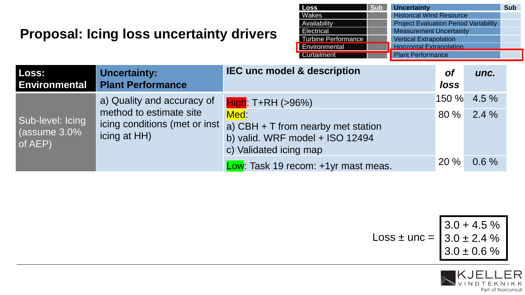#### **Proposal: Icing loss uncertainty drivers**

| Loss                | <b>Sub</b> | <b>Uncertainty</b>                           | <b>Sub</b> |
|---------------------|------------|----------------------------------------------|------------|
| <b>Wakes</b>        |            | <b>Historical Wind Resource</b>              |            |
| Availability        |            | <b>Project Evaluation Period Variability</b> |            |
| Electrical          |            | <b>Measurement Uncertainty</b>               |            |
| Turbine Performance |            | <b>Vertical Extrapolation</b>                |            |
| Environmental       |            | <b>Horizontal Extrapolation</b>              |            |
| <b>Curtailment</b>  |            | <b>Plant Performance</b>                     |            |

| Loss:<br><b>Environmental</b>                  | <b>Uncertainty:</b><br><b>Plant Performance</b>                       | <b>IEC unc model &amp; description</b>                                                                                                                                                            | <b>of</b><br>loss | unc.                           |
|------------------------------------------------|-----------------------------------------------------------------------|---------------------------------------------------------------------------------------------------------------------------------------------------------------------------------------------------|-------------------|--------------------------------|
| Sub-level: Icing<br>(assume $3.0\%$<br>of AEP) | a) Quality and accuracy of<br>method to estimate site<br>icing at HH) | High: T+RH (>96%)<br>Med:<br>icing conditions (met or inst a) CBH + T from nearby met station<br>b) valid. WRF model + ISO 12494<br>c) Validated icing map<br>Low: Task 19 recom: +1yr mast meas. | 80%<br>20%        | 150 % 4.5 %<br>$2.4\%$<br>0.6% |

$$
\text{Loss} \pm \text{unc} = \begin{bmatrix} 3.0 + 4.5 \% \\ 3.0 \pm 2.4 \% \\ 3.0 \pm 0.6 \% \end{bmatrix}
$$

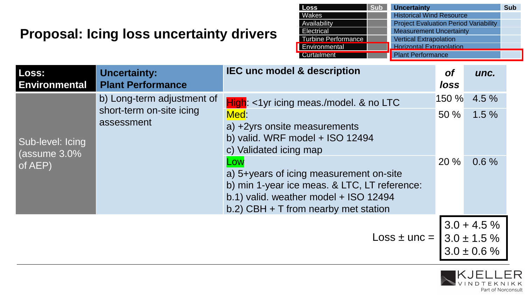#### **Proposal: Icing loss uncertainty drivers**

| <b>Loss</b>                | <b>Sub</b> | <b>Uncertainty</b>                           | <b>Sub</b> |
|----------------------------|------------|----------------------------------------------|------------|
| Wakes                      |            | <b>Historical Wind Resource</b>              |            |
| Availability               |            | <b>Project Evaluation Period Variability</b> |            |
| Electrical                 |            | <b>Measurement Uncertainty</b>               |            |
| <b>Turbine Performance</b> |            | <b>Vertical Extrapolation</b>                |            |
| Environmental              |            | <b>Horizontal Extrapolation</b>              |            |
| <b>Curtailment</b>         |            | <b>Plant Performance</b>                     |            |

Part of Norconsult

| Loss:<br><b>Environmental</b>                  | <b>Uncertainty:</b><br><b>Plant Performance</b>                      | <b>IEC unc model &amp; description</b>                                                                                                                                                                                                                                                                                             | <b>of</b><br><i>loss</i> | unc.                                                  |
|------------------------------------------------|----------------------------------------------------------------------|------------------------------------------------------------------------------------------------------------------------------------------------------------------------------------------------------------------------------------------------------------------------------------------------------------------------------------|--------------------------|-------------------------------------------------------|
| Sub-level: Icing<br>(assume $3.0\%$<br>of AEP) | b) Long-term adjustment of<br>short-term on-site icing<br>assessment | $High:$ <1yr icing meas./model. & no LTC<br>Med:<br>a) +2yrs onsite measurements<br>b) valid. WRF model + ISO 12494<br>c) Validated icing map<br>Low<br>a) 5+years of icing measurement on-site<br>b) min 1-year ice meas. & LTC, LT reference:<br>b.1) valid. weather model + ISO 12494<br>b.2) CBH $+$ T from nearby met station | 150 %<br>50%<br>20 %     | 4.5 %<br>1.5%<br>0.6%                                 |
| $Loss + unc =$                                 |                                                                      |                                                                                                                                                                                                                                                                                                                                    |                          | $3.0 + 4.5\%$<br>$3.0 \pm 1.5 \%$<br>$3.0 \pm 0.6 \%$ |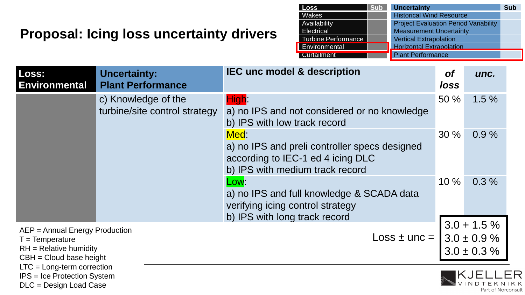#### **Proposal: Icing loss uncertainty drivers**

DLC = Design Load Case

| <b>Loss</b>                | <b>Sub</b> | <b>Uncertainty</b>                           | <b>Sub</b> |
|----------------------------|------------|----------------------------------------------|------------|
| Wakes                      |            | <b>Historical Wind Resource</b>              |            |
| Availability               |            | <b>Project Evaluation Period Variability</b> |            |
| <b>Electrical</b>          |            | <b>Measurement Uncertainty</b>               |            |
| <b>Turbine Performance</b> |            | <b>Vertical Extrapolation</b>                |            |
| Environmental              |            | <b>Horizontal Extrapolation</b>              |            |
| <b>Curtailment</b>         |            | <b>Plant Performance</b>                     |            |

VINDTE

Part of Norconsult

| Loss:<br><b>Environmental</b>                                                                                                                                                      | <b>Uncertainty:</b><br><b>Plant Performance</b>      | <b>IEC unc model &amp; description</b>                                                                                        | <b>of</b><br>loss | unc.                                                   |
|------------------------------------------------------------------------------------------------------------------------------------------------------------------------------------|------------------------------------------------------|-------------------------------------------------------------------------------------------------------------------------------|-------------------|--------------------------------------------------------|
|                                                                                                                                                                                    | c) Knowledge of the<br>turbine/site control strategy | High:<br>a) no IPS and not considered or no knowledge<br>b) IPS with low track record                                         | 50%               | 1.5%                                                   |
|                                                                                                                                                                                    |                                                      | Med:<br>a) no IPS and preli controller specs designed<br>according to IEC-1 ed 4 icing DLC<br>b) IPS with medium track record | 30%               | 0.9%                                                   |
|                                                                                                                                                                                    |                                                      | Low:<br>a) no IPS and full knowledge & SCADA data<br>verifying icing control strategy<br>b) IPS with long track record        | $10 \%$           | 0.3%                                                   |
| AEP = Annual Energy Production<br>$T = Temperature$<br>$RH = Relative$ humidity<br>$CBH = Cloud base height$<br>$LTC = Long-term correction$<br><b>IPS</b> = Ice Protection System |                                                      | $Loss +$ unc =                                                                                                                |                   | $3.0 + 1.5 \%$<br>$3.0 \pm 0.9 \%$<br>$3.0 \pm 0.3 \%$ |
|                                                                                                                                                                                    |                                                      |                                                                                                                               |                   | IKJE                                                   |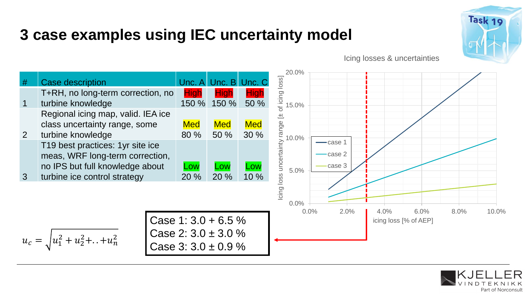## **3 case examples using IEC uncertainty model**



Icing losses & uncertainties



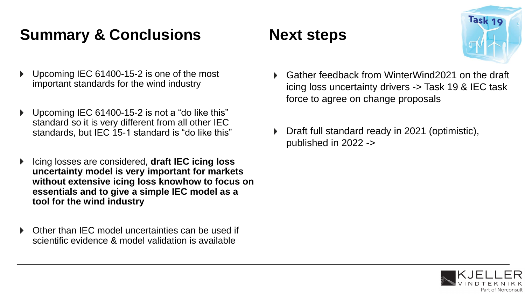# **Summary & Conclusions Mext steps**

- Upcoming IEC 61400-15-2 is one of the most important standards for the wind industry
- Upcoming IEC 61400-15-2 is not a "do like this" standard so it is very different from all other IEC standards, but IEC 15-1 standard is "do like this"
- Icing losses are considered, **draft IEC icing loss uncertainty model is very important for markets without extensive icing loss knowhow to focus on essentials and to give a simple IEC model as a tool for the wind industry**
- Other than IEC model uncertainties can be used if scientific evidence & model validation is available



- Gather feedback from WinterWind2021 on the draft icing loss uncertainty drivers -> Task 19 & IEC task force to agree on change proposals
- Draft full standard ready in 2021 (optimistic), published in 2022 ->